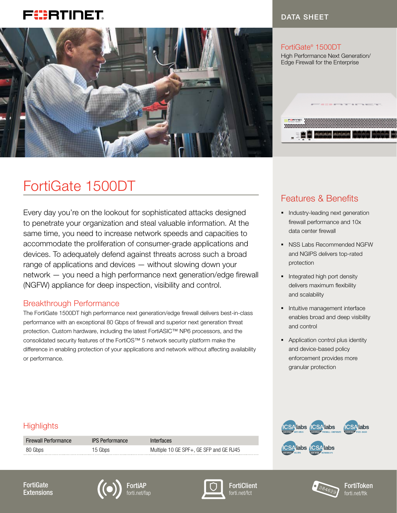## FURTIDET



#### DATA SHEET

............

#### FortiGate® 1500DT

High Performance Next Generation/ Edge Firewall for the Enterprise

# FortiGate 1500DT

Every day you're on the lookout for sophisticated attacks designed to penetrate your organization and steal valuable information. At the same time, you need to increase network speeds and capacities to accommodate the proliferation of consumer-grade applications and devices. To adequately defend against threats across such a broad range of applications and devices — without slowing down your network — you need a high performance next generation/edge firewall (NGFW) appliance for deep inspection, visibility and control.

#### Breakthrough Performance

The FortiGate 1500DT high performance next generation/edge firewall delivers best-in-class performance with an exceptional 80 Gbps of firewall and superior next generation threat protection. Custom hardware, including the latest FortiASIC™ NP6 processors, and the consolidated security features of the FortiOS™ 5 network security platform make the difference in enabling protection of your applications and network without affecting availability or performance.

### Features & Benefits

- **•** Industry-leading next generation firewall performance and 10x data center firewall
- § NSS Labs Recommended NGFW and NGIPS delivers top-rated protection
- Integrated high port density delivers maximum flexibility and scalability
- **•** Intuitive management interface enables broad and deep visibility and control
- Application control plus identity and device-based policy enforcement provides more granular protection

#### **Highlights**

| <b>Firewall Performance</b> | <b>IPS Performance</b> | Interfaces                              |
|-----------------------------|------------------------|-----------------------------------------|
| 80 Gbps                     | 15 Gbps                | Multiple 10 GE SPF+, GE SFP and GE RJ45 |















FortiToken forti.net/ftk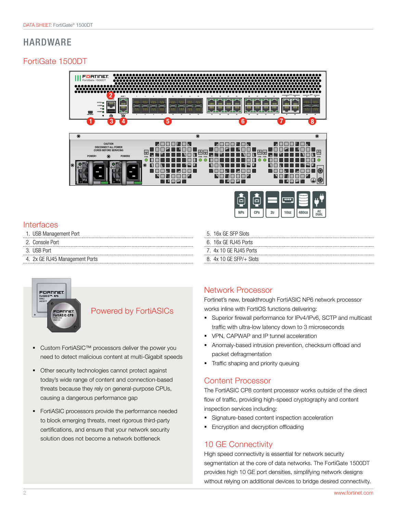### HARDWARE

#### FortiGate 1500DT





#### Interfaces

- 1. USB Management Port
- 2. Console Port
- 3. USB Port
- 4. 2x GE RJ45 Management Ports



#### Powered by FortiASICs

- Custom FortiASIC<sup>™</sup> processors deliver the power you need to detect malicious content at multi-Gigabit speeds
- § Other security technologies cannot protect against today's wide range of content and connection-based threats because they rely on general-purpose CPUs, causing a dangerous performance gap
- **•** FortiASIC processors provide the performance needed to block emerging threats, meet rigorous third-party certifications, and ensure that your network security solution does not become a network bottleneck

#### 6. 16x GE RJ45 Ports 7. 4x 10 GE RJ45 Ports

5. 16x GE SFP Slots

8. 4x 10 GE SFP/+ Slots

#### Network Processor

Fortinet's new, breakthrough FortiASIC NP6 network processor works inline with FortiOS functions delivering:

- Superior firewall performance for IPv4/IPv6, SCTP and multicast traffic with ultra-low latency down to 3 microseconds
- § VPN, CAPWAP and IP tunnel acceleration
- § Anomaly-based intrusion prevention, checksum offload and packet defragmentation
- § Traffic shaping and priority queuing

#### Content Processor

The FortiASIC CP8 content processor works outside of the direct flow of traffic, providing high-speed cryptography and content inspection services including:

- Signature-based content inspection acceleration
- **Encryption and decryption offloading**

#### 10 GE Connectivity

High speed connectivity is essential for network security segmentation at the core of data networks. The FortiGate 1500DT provides high 10 GE port densities, simplifying network designs without relying on additional devices to bridge desired connectivity.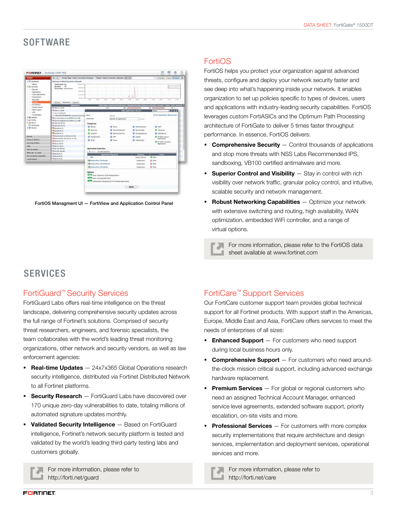#### **SOFTWARE**

|                                       | @   C .:   Threat Road Fallet Connection Attempts   Threat: Falled Connection Attempts (And Fruit |                                                     |                            |                         | 11   Emister - Thrust   N have   O                                                                         |  |
|---------------------------------------|---------------------------------------------------------------------------------------------------|-----------------------------------------------------|----------------------------|-------------------------|------------------------------------------------------------------------------------------------------------|--|
| 16 Instance                           | Summary of Falled Concursive Atlantics                                                            |                                                     |                            |                         |                                                                                                            |  |
| 1 Bacus                               | <b>Timed books 6.02</b><br><b>HEART</b>                                                           |                                                     |                            |                         |                                                                                                            |  |
| in this memory                        | <b>Business</b><br><b>Holland</b>                                                                 |                                                     |                            |                         | <b>If Server House</b><br><b>TH</b> Teamers Stories!                                                       |  |
| - Libraries                           | <b>True Facture: Last U415xx5.</b>                                                                |                                                     |                            |                         |                                                                                                            |  |
| · Applications                        | <b>Million</b>                                                                                    |                                                     |                            |                         |                                                                                                            |  |
| 1. Calval Assistantivist              | <b>Miller</b>                                                                                     |                                                     |                            |                         |                                                                                                            |  |
| + Sustinations                        |                                                                                                   |                                                     |                            |                         |                                                                                                            |  |
| - <i><b>House Bloose</b></i>          |                                                                                                   | <b>HERE</b><br>--                                   | All and<br>-<br>$-$        | $-1$<br>$-1$<br>-       | $10 - 10$<br>-<br>$-10$<br>-                                                                               |  |
| 10000                                 | Some Detroite's Section                                                                           |                                                     |                            |                         |                                                                                                            |  |
| - Hd Engineer                         | <b>Death after</b>                                                                                |                                                     |                            |                         | [/adian Stiation firest boars   Etchnic/Allread' Deserors   Booked 'Allowed' - Pytes   Bark   Received   S |  |
| 1 Signit Cierta                       | <b>BLand an Unit 69</b>                                                                           |                                                     | <b>MC 10</b><br>$n = 11$   |                         | <b>15 II</b><br><b>EB 1</b>                                                                                |  |
| $-$ - Agency scholars<br><b>COMPA</b> | <b>REGISTALIZER</b>                                                                               |                                                     |                            | Edit Application Server | 0055<br><b>Africa</b>                                                                                      |  |
| - Fortification                       | * STLID AN-LIN                                                                                    |                                                     |                            |                         |                                                                                                            |  |
| # El when                             | # additional Chevrolet communication of p. Terror                                                 |                                                     | <b>Autour</b>              |                         | (View Aspitables Significant)                                                                              |  |
| <b>Will Carro</b>                     | <b>Bi</b> annula, for it guard risk 2008 NL U12, 1942                                             | Cleveland                                           | Avenillar AR southcuttons  | 2.30439                 |                                                                                                            |  |
| <b>Kulk Advise</b>                    | THE AMERICAN PHOTOGRAPHS, FIND CASE CASE AND A RESIDENCE.                                         |                                                     |                            |                         |                                                                                                            |  |
| <b>ST CHARMAN</b>                     | WE 934 213 547 36<br><b>REales Job Let Jet</b>                                                    | Categories                                          |                            |                         |                                                                                                            |  |
| <b>A 18 Hollar</b>                    | THE 44 356 ALL FE                                                                                 | <b>If</b> Service                                   | <b>ID</b> Santa            | <b>Romeda Asiassi</b>   | MIR                                                                                                        |  |
|                                       | THE AIR 2006 ALL 75-                                                                              | <b>G</b> Business                                   | <b>E</b> Garwini Integrate | <b>Backet Maska</b>     | <b>D. Industrial</b>                                                                                       |  |
|                                       | <b>Mai 200.02.14</b>                                                                              | <b>B</b> Dout IT                                    | <b>Britannia Services</b>  | Disneys Barbug          | <b>Mich Officers</b>                                                                                       |  |
|                                       | Handawicon, Ja 84, Ja 211, 281                                                                    |                                                     |                            |                         |                                                                                                            |  |
| <b>Bischer</b>                        | PERMANENTARY SERVICE DELTA                                                                        | <b>E</b> Calubaration                               | <b>POP</b>                 | <b>Uledalis</b>         | All-Dillar Kissan<br>Annividuos                                                                            |  |
| <b>Poley &amp; Oljarto</b>            | Her.N.101.17                                                                                      | <b>IR dreat</b>                                     | Prints                     | <b>Walshutz</b>         |                                                                                                            |  |
| <b>Security Probles</b>               | <b>REALISTS RES</b>                                                                               |                                                     |                            |                         | <b>O SECOND UNION</b><br><b>Naplications</b>                                                               |  |
| <b>VIRGIN</b>                         | <b>WEBS.222.06.42</b>                                                                             |                                                     |                            |                         |                                                                                                            |  |
| <b>ERAY &amp; Edward</b>              | <b>WI 48,336,306 MA</b>                                                                           | <b>Apartistus Countiles</b>                         |                            |                         |                                                                                                            |  |
|                                       | West and lots and                                                                                 | <b>B</b> common CD and Supportunity                 |                            |                         |                                                                                                            |  |
| MAN OUL A LACHE                       | <b>ISBN 06-04-57</b>                                                                              |                                                     | <b>Audiomina Symmetre</b>  | <b>Katagery</b>         | <b>Action</b>                                                                                              |  |
| <b>WITH A DWOLE CANONIAL</b>          | <b>DEMORE DA 34</b>                                                                               | <b>BAY</b>                                          |                            | <b>Whening Schools</b>  | <b>Q</b> line                                                                                              |  |
| Ling & Seport.                        | <b>Illino Art Are and</b>                                                                         | <b>Of George Book, February.</b>                    |                            | Colleboration           | AC INNS                                                                                                    |  |
|                                       |                                                                                                   |                                                     |                            |                         |                                                                                                            |  |
|                                       |                                                                                                   | <b>Companies</b> , File Gasebland                   |                            | Colaboration            | 62008                                                                                                      |  |
|                                       |                                                                                                   | Of Geogle Rock, File Lanced                         |                            | Gristorina              | di son                                                                                                     |  |
|                                       |                                                                                                   | Outlook                                             |                            |                         |                                                                                                            |  |
|                                       |                                                                                                   | <b>RETAIN</b> Ones Interested of Cloud Applications |                            |                         |                                                                                                            |  |
|                                       |                                                                                                   | <b>COLLE</b> Allow will Leg (TAS Buffy)             |                            |                         |                                                                                                            |  |
|                                       |                                                                                                   | Analyzement Personal for HTTP based Approximate     |                            |                         |                                                                                                            |  |
|                                       |                                                                                                   |                                                     |                            |                         |                                                                                                            |  |
|                                       |                                                                                                   |                                                     |                            | Apply.                  |                                                                                                            |  |

FortiOS Managment UI — FortiView and Application Control Panel

#### FortiOS

FortiOS helps you protect your organization against advanced threats, configure and deploy your network security faster and see deep into what's happening inside your network. It enables organization to set up policies specific to types of devices, users and applications with industry-leading security capabilities. FortiOS leverages custom FortiASICs and the Optimum Path Processing architecture of FortiGate to deliver 5 times faster throughput performance. In essence, FortiOS delivers:

- **Comprehensive Security**  $-$  Control thousands of applications and stop more threats with NSS Labs Recommended IPS, sandboxing, VB100 certified antimalware and more.
- **Superior Control and Visibility**  $-$  Stay in control with rich visibility over network traffic, granular policy control, and intuitive, scalable security and network management.
- **Robust Networking Capabilities** Optimize your network with extensive switching and routing, high availability, WAN optimization, embedded WiFi controller, and a range of virtual options.

For more information, please refer to the FortiOS data sheet available at www.fortinet.com

#### SERVICES

#### FortiGuard™ Security Services

FortiGuard Labs offers real-time intelligence on the threat landscape, delivering comprehensive security updates across the full range of Fortinet's solutions. Comprised of security threat researchers, engineers, and forensic specialists, the team collaborates with the world's leading threat monitoring organizations, other network and security vendors, as well as law enforcement agencies:

- **Real-time Updates** 24x7x365 Global Operations research security intelligence, distributed via Fortinet Distributed Network to all Fortinet platforms.
- **Security Research** FortiGuard Labs have discovered over 170 unique zero-day vulnerabilities to date, totaling millions of automated signature updates monthly.
- Validated Security Intelligence Based on FortiGuard intelligence, Fortinet's network security platform is tested and validated by the world's leading third-party testing labs and customers globally.



For more information, please refer to http://forti.net/guard

#### FortiCare™ Support Services

Our FortiCare customer support team provides global technical support for all Fortinet products. With support staff in the Americas, Europe, Middle East and Asia, FortiCare offers services to meet the needs of enterprises of all sizes:

- **Enhanced Support**  $-$  For customers who need support during local business hours only.
- **Comprehensive Support** For customers who need aroundthe-clock mission critical support, including advanced exchange hardware replacement.
- **Premium Services** For global or regional customers who need an assigned Technical Account Manager, enhanced service level agreements, extended software support, priority escalation, on-site visits and more.
- **Professional Services**  $-$  For customers with more complex security implementations that require architecture and design services, implementation and deployment services, operational services and more.

For more information, please refer to http://forti.net/care